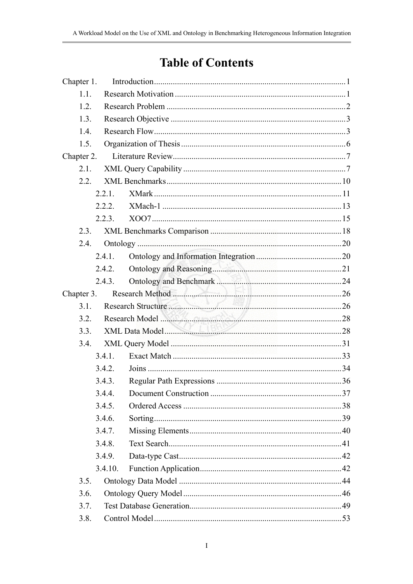## **Table of Contents**

| Chapter 1. |                    |  |
|------------|--------------------|--|
| 1.1.       |                    |  |
| 1.2.       |                    |  |
| 1.3.       |                    |  |
| 1.4.       |                    |  |
| 1.5.       |                    |  |
| Chapter 2. |                    |  |
| 2.1.       |                    |  |
| 2.2.       |                    |  |
|            | 2.2.1.             |  |
|            | 2.2.2.             |  |
|            | 2.2.3.             |  |
| 2.3.       |                    |  |
| 2.4.       |                    |  |
|            | 2.4.1.             |  |
|            | 2.4.2.             |  |
|            | 2.4.3.             |  |
| Chapter 3. | Research Method 26 |  |
| 3.1.       |                    |  |
| 3.2.       | Research Model 28  |  |
| 3.3.       |                    |  |
| 3.4.       |                    |  |
|            | 3.4.1.             |  |
|            | 3.4.2.             |  |
|            | 3.4.3.             |  |
|            | 3.4.4.             |  |
|            | 3.4.5.             |  |
|            | 3.4.6.             |  |
|            | 3.4.7.             |  |
|            | 3.4.8.             |  |
|            | 3.4.9.             |  |
|            | 3.4.10.            |  |
| 3.5.       |                    |  |
| 3.6.       |                    |  |
| 3.7.       |                    |  |
| 3.8.       |                    |  |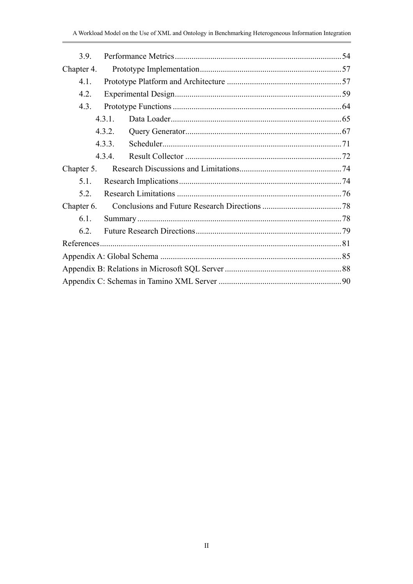| 3.9.       |        |  |
|------------|--------|--|
| Chapter 4. |        |  |
| $4.1$ .    |        |  |
| 4.2.       |        |  |
| 4.3.       |        |  |
|            | 4.3.1. |  |
|            | 432    |  |
|            | 4.3.3. |  |
|            | 4.3.4  |  |
| Chapter 5. |        |  |
| 5.1.       |        |  |
| 5.2.       |        |  |
| Chapter 6. |        |  |
| 61         |        |  |
| 62         |        |  |
|            |        |  |
|            |        |  |
|            |        |  |
|            |        |  |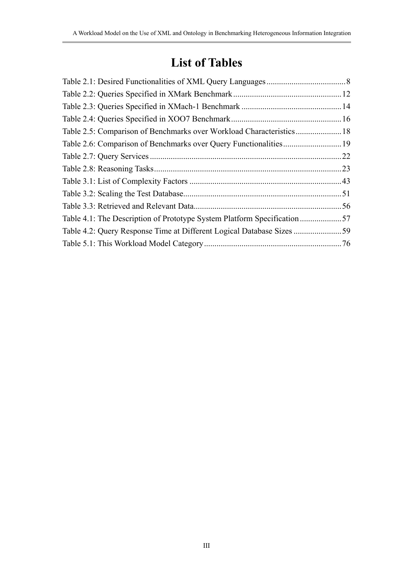## **List of Tables**

| .22 |
|-----|
|     |
|     |
|     |
|     |
|     |
|     |
|     |
|     |